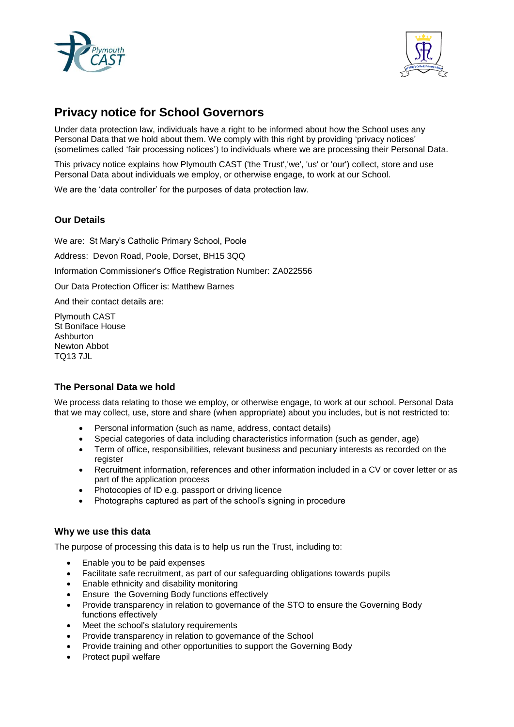



# **Privacy notice for School Governors**

Under data protection law, individuals have a right to be informed about how the School uses any Personal Data that we hold about them. We comply with this right by providing 'privacy notices' (sometimes called 'fair processing notices') to individuals where we are processing their Personal Data.

This privacy notice explains how Plymouth CAST ('the Trust','we', 'us' or 'our') collect, store and use Personal Data about individuals we employ, or otherwise engage, to work at our School.

We are the 'data controller' for the purposes of data protection law.

# **Our Details**

We are: St Mary's Catholic Primary School, Poole

Address: Devon Road, Poole, Dorset, BH15 3QQ

Information Commissioner's Office Registration Number: ZA022556

Our Data Protection Officer is: Matthew Barnes

And their contact details are:

Plymouth CAST St Boniface House Ashburton Newton Abbot TQ13 7JL

# **The Personal Data we hold**

We process data relating to those we employ, or otherwise engage, to work at our school. Personal Data that we may collect, use, store and share (when appropriate) about you includes, but is not restricted to:

- Personal information (such as name, address, contact details)
- Special categories of data including characteristics information (such as gender, age)
- Term of office, responsibilities, relevant business and pecuniary interests as recorded on the register
- Recruitment information, references and other information included in a CV or cover letter or as part of the application process
- Photocopies of ID e.g. passport or driving licence
- Photographs captured as part of the school's signing in procedure

#### **Why we use this data**

The purpose of processing this data is to help us run the Trust, including to:

- Enable you to be paid expenses
- Facilitate safe recruitment, as part of our safeguarding obligations towards pupils
- Enable ethnicity and disability monitoring
- Ensure the Governing Body functions effectively
- Provide transparency in relation to governance of the STO to ensure the Governing Body functions effectively
- Meet the school's statutory requirements
- Provide transparency in relation to governance of the School
- Provide training and other opportunities to support the Governing Body
- Protect pupil welfare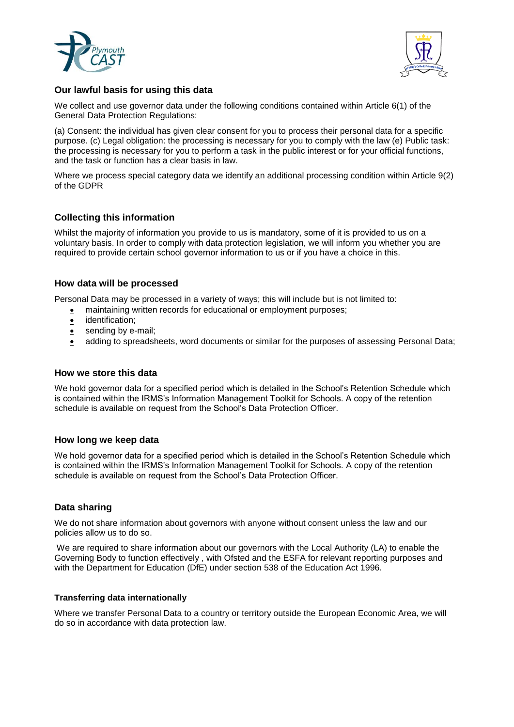



# **Our lawful basis for using this data**

We collect and use governor data under the following conditions contained within Article 6(1) of the General Data Protection Regulations:

(a) Consent: the individual has given clear consent for you to process their personal data for a specific purpose. (c) Legal obligation: the processing is necessary for you to comply with the law (e) Public task: the processing is necessary for you to perform a task in the public interest or for your official functions, and the task or function has a clear basis in law.

Where we process special category data we identify an additional processing condition within Article 9(2) of the GDPR

# **Collecting this information**

Whilst the majority of information you provide to us is mandatory, some of it is provided to us on a voluntary basis. In order to comply with data protection legislation, we will inform you whether you are required to provide certain school governor information to us or if you have a choice in this.

# **How data will be processed**

Personal Data may be processed in a variety of ways; this will include but is not limited to:

- maintaining written records for educational or employment purposes;
- **•** identification;
- sending by e-mail;
- adding to spreadsheets, word documents or similar for the purposes of assessing Personal Data;

#### **How we store this data**

We hold governor data for a specified period which is detailed in the School's Retention Schedule which is contained within the IRMS's Information Management Toolkit for Schools. A copy of the retention schedule is available on request from the School's Data Protection Officer.

#### **How long we keep data**

We hold governor data for a specified period which is detailed in the School's Retention Schedule which is contained within the IRMS's Information Management Toolkit for Schools. A copy of the retention schedule is available on request from the School's Data Protection Officer.

#### **Data sharing**

We do not share information about governors with anyone without consent unless the law and our policies allow us to do so.

We are required to share information about our governors with the Local Authority (LA) to enable the Governing Body to function effectively , with Ofsted and the ESFA for relevant reporting purposes and with the Department for Education (DfE) under section 538 of the Education Act 1996.

#### **Transferring data internationally**

Where we transfer Personal Data to a country or territory outside the European Economic Area, we will do so in accordance with data protection law.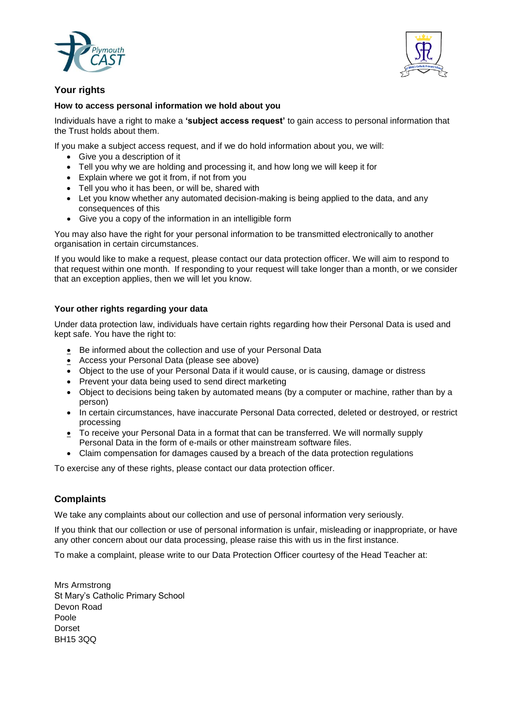



# **Your rights**

#### **How to access personal information we hold about you**

Individuals have a right to make a **'subject access request'** to gain access to personal information that the Trust holds about them.

If you make a subject access request, and if we do hold information about you, we will:

- Give you a description of it
- Tell you why we are holding and processing it, and how long we will keep it for
- Explain where we got it from, if not from you
- Tell you who it has been, or will be, shared with
- Let you know whether any automated decision-making is being applied to the data, and any consequences of this
- Give you a copy of the information in an intelligible form

You may also have the right for your personal information to be transmitted electronically to another organisation in certain circumstances.

If you would like to make a request, please contact our data protection officer. We will aim to respond to that request within one month. If responding to your request will take longer than a month, or we consider that an exception applies, then we will let you know.

#### **Your other rights regarding your data**

Under data protection law, individuals have certain rights regarding how their Personal Data is used and kept safe. You have the right to:

- Be informed about the collection and use of your Personal Data
- Access your Personal Data (please see above)
- Object to the use of your Personal Data if it would cause, or is causing, damage or distress
- Prevent your data being used to send direct marketing
- Object to decisions being taken by automated means (by a computer or machine, rather than by a person)
- In certain circumstances, have inaccurate Personal Data corrected, deleted or destroyed, or restrict processing
- To receive your Personal Data in a format that can be transferred. We will normally supply Personal Data in the form of e-mails or other mainstream software files.
- Claim compensation for damages caused by a breach of the data protection regulations

To exercise any of these rights, please contact our data protection officer.

# **Complaints**

We take any complaints about our collection and use of personal information very seriously.

If you think that our collection or use of personal information is unfair, misleading or inappropriate, or have any other concern about our data processing, please raise this with us in the first instance.

To make a complaint, please write to our Data Protection Officer courtesy of the Head Teacher at:

Mrs Armstrong St Mary's Catholic Primary School Devon Road Poole Dorset BH15 3QQ